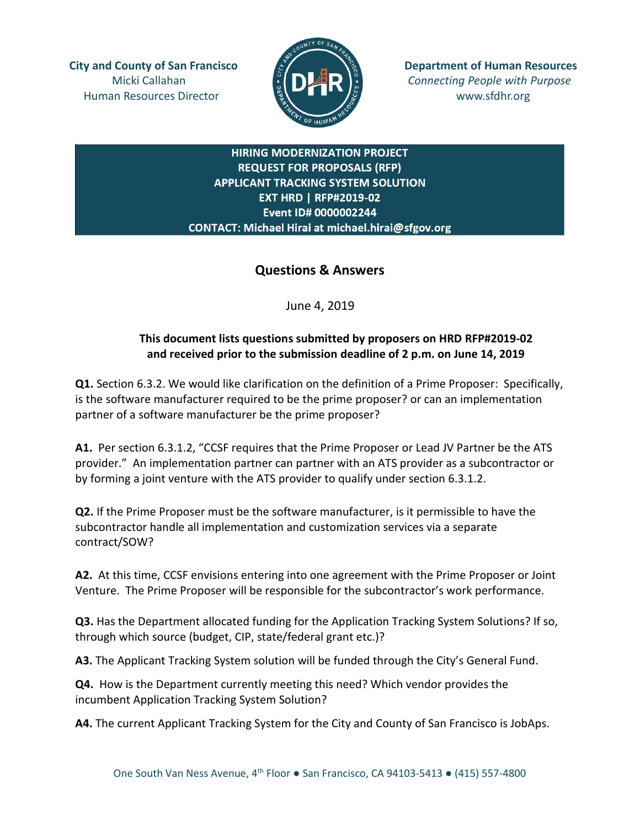Human Resources Director  $\frac{16}{5}$   $\frac{1}{5}$   $\frac{1}{5}$   $\frac{1}{5}$  www.sfdhr.org



**City and County of San Francisco Department of Human Resources** Micki Callahan **Connecting People with Purpose** Connecting People with Purpose

## **HIRING MODERNIZATION PROJECT REQUEST FOR PROPOSALS (RFP) APPLICANT TRACKING SYSTEM SOLUTION EXT HRD | RFP#2019-02** Event ID# 0000002244 CONTACT: Michael Hirai at michael.hirai@sfgov.org

## **Questions & Answers**

June 4, 2019

## **This document lists questions submitted by proposers on HRD RFP#2019-02 and received prior to the submission deadline of 2 p.m. on June 14, 2019**

**Q1.** Section 6.3.2. We would like clarification on the definition of a Prime Proposer: Specifically, is the software manufacturer required to be the prime proposer? or can an implementation partner of a software manufacturer be the prime proposer?

**A1.** Per section 6.3.1.2, "CCSF requires that the Prime Proposer or Lead JV Partner be the ATS provider." An implementation partner can partner with an ATS provider as a subcontractor or by forming a joint venture with the ATS provider to qualify under section 6.3.1.2.

**Q2.** If the Prime Proposer must be the software manufacturer, is it permissible to have the subcontractor handle all implementation and customization services via a separate contract/SOW?

**A2.** At this time, CCSF envisions entering into one agreement with the Prime Proposer or Joint Venture. The Prime Proposer will be responsible for the subcontractor's work performance.

**Q3.** Has the Department allocated funding for the Application Tracking System Solutions? If so, through which source (budget, CIP, state/federal grant etc.)?

**A3.** The Applicant Tracking System solution will be funded through the City's General Fund.

**Q4.** How is the Department currently meeting this need? Which vendor provides the incumbent Application Tracking System Solution?

**A4.** The current Applicant Tracking System for the City and County of San Francisco is JobAps.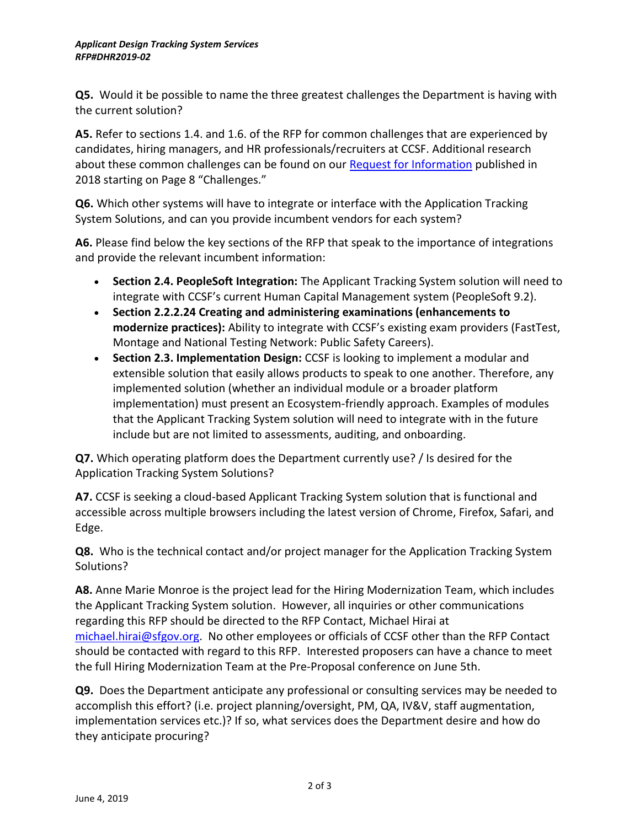**Q5.** Would it be possible to name the three greatest challenges the Department is having with the current solution?

**A5.** Refer to sections 1.4. and 1.6. of the RFP for common challenges that are experienced by candidates, hiring managers, and HR professionals/recruiters at CCSF. Additional research about these common challenges can be found on our [Request for Information](https://docs.wixstatic.com/ugd/b6959e_4ee53b5136094042b7e99ac4f5d5867e.pdf) published in 2018 starting on Page 8 "Challenges."

**Q6.** Which other systems will have to integrate or interface with the Application Tracking System Solutions, and can you provide incumbent vendors for each system?

**A6.** Please find below the key sections of the RFP that speak to the importance of integrations and provide the relevant incumbent information:

- **Section 2.4. PeopleSoft Integration:** The Applicant Tracking System solution will need to integrate with CCSF's current Human Capital Management system (PeopleSoft 9.2).
- **Section 2.2.2.24 Creating and administering examinations (enhancements to modernize practices):** Ability to integrate with CCSF's existing exam providers (FastTest, Montage and National Testing Network: Public Safety Careers).
- **Section 2.3. Implementation Design:** CCSF is looking to implement a modular and extensible solution that easily allows products to speak to one another. Therefore, any implemented solution (whether an individual module or a broader platform implementation) must present an Ecosystem-friendly approach. Examples of modules that the Applicant Tracking System solution will need to integrate with in the future include but are not limited to assessments, auditing, and onboarding.

**Q7.** Which operating platform does the Department currently use? / Is desired for the Application Tracking System Solutions?

**A7.** CCSF is seeking a cloud-based Applicant Tracking System solution that is functional and accessible across multiple browsers including the latest version of Chrome, Firefox, Safari, and Edge.

**Q8.** Who is the technical contact and/or project manager for the Application Tracking System Solutions?

**A8.** Anne Marie Monroe is the project lead for the Hiring Modernization Team, which includes the Applicant Tracking System solution. However, all inquiries or other communications regarding this RFP should be directed to the RFP Contact, Michael Hirai at [michael.hirai@sfgov.org.](mailto:michael.hirai@sfgov.org) No other employees or officials of CCSF other than the RFP Contact should be contacted with regard to this RFP. Interested proposers can have a chance to meet the full Hiring Modernization Team at the Pre-Proposal conference on June 5th.

**Q9.** Does the Department anticipate any professional or consulting services may be needed to accomplish this effort? (i.e. project planning/oversight, PM, QA, IV&V, staff augmentation, implementation services etc.)? If so, what services does the Department desire and how do they anticipate procuring?